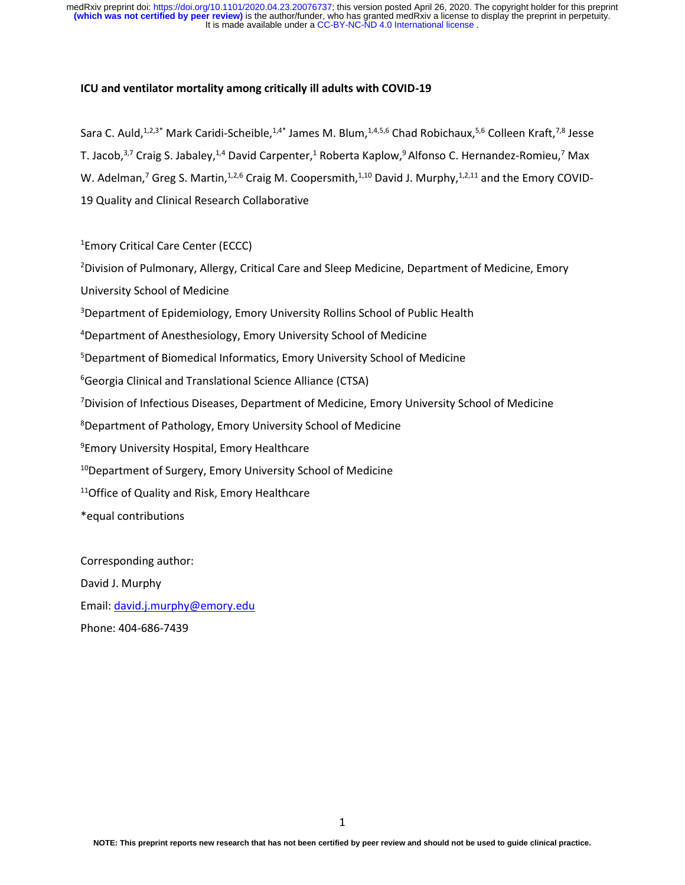# **ICU and ventilator mortality among critically ill adults with COVID-19**

Sara C. Auld,<sup>1,2,3\*</sup> Mark Caridi-Scheible,<sup>1,4\*</sup> James M. Blum,<sup>1,4,5,6</sup> Chad Robichaux,<sup>5,6</sup> Colleen Kraft,<sup>7,8</sup> Jesse T. Jacob,<sup>3,7</sup> Craig S. Jabaley,<sup>1,4</sup> David Carpenter,<sup>1</sup> Roberta Kaplow,<sup>9</sup> Alfonso C. Hernandez-Romieu,<sup>7</sup> Max W. Adelman,<sup>7</sup> Greg S. Martin,<sup>1,2,6</sup> Craig M. Coopersmith,<sup>1,10</sup> David J. Murphy,<sup>1,2,11</sup> and the Emory COVID-19 Quality and Clinical Research Collaborative

# <sup>1</sup>Emory Critical Care Center (ECCC)

<sup>2</sup>Division of Pulmonary, Allergy, Critical Care and Sleep Medicine, Department of Medicine, Emory University School of Medicine

<sup>3</sup>Department of Epidemiology, Emory University Rollins School of Public Health

<sup>4</sup>Department of Anesthesiology, Emory University School of Medicine

<sup>5</sup>Department of Biomedical Informatics, Emory University School of Medicine

<sup>6</sup>Georgia Clinical and Translational Science Alliance (CTSA)

<sup>7</sup>Division of Infectious Diseases, Department of Medicine, Emory University School of Medicine

<sup>8</sup>Department of Pathology, Emory University School of Medicine

<sup>9</sup>Emory University Hospital, Emory Healthcare

<sup>10</sup>Department of Surgery, Emory University School of Medicine

<sup>11</sup>Office of Quality and Risk, Emory Healthcare

\*equal contributions

Corresponding author: David J. Murphy Email: [david.j.murphy@emory.edu](mailto:david.j.murphy@emory.edu) Phone: 404-686-7439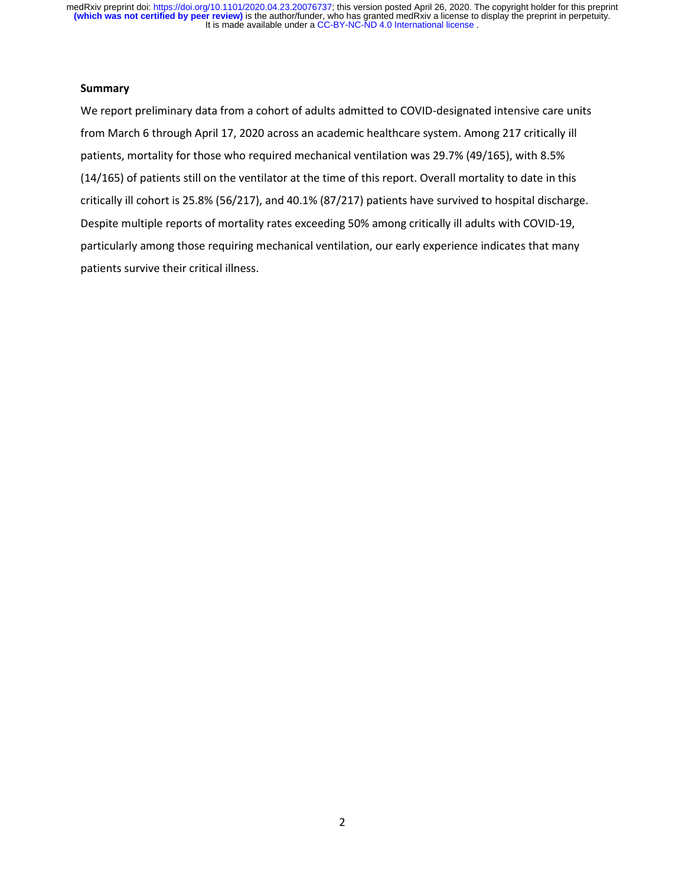# **Summary**

We report preliminary data from a cohort of adults admitted to COVID-designated intensive care units from March 6 through April 17, 2020 across an academic healthcare system. Among 217 critically ill patients, mortality for those who required mechanical ventilation was 29.7% (49/165), with 8.5% (14/165) of patients still on the ventilator at the time of this report. Overall mortality to date in this critically ill cohort is 25.8% (56/217), and 40.1% (87/217) patients have survived to hospital discharge. Despite multiple reports of mortality rates exceeding 50% among critically ill adults with COVID-19, particularly among those requiring mechanical ventilation, our early experience indicates that many patients survive their critical illness.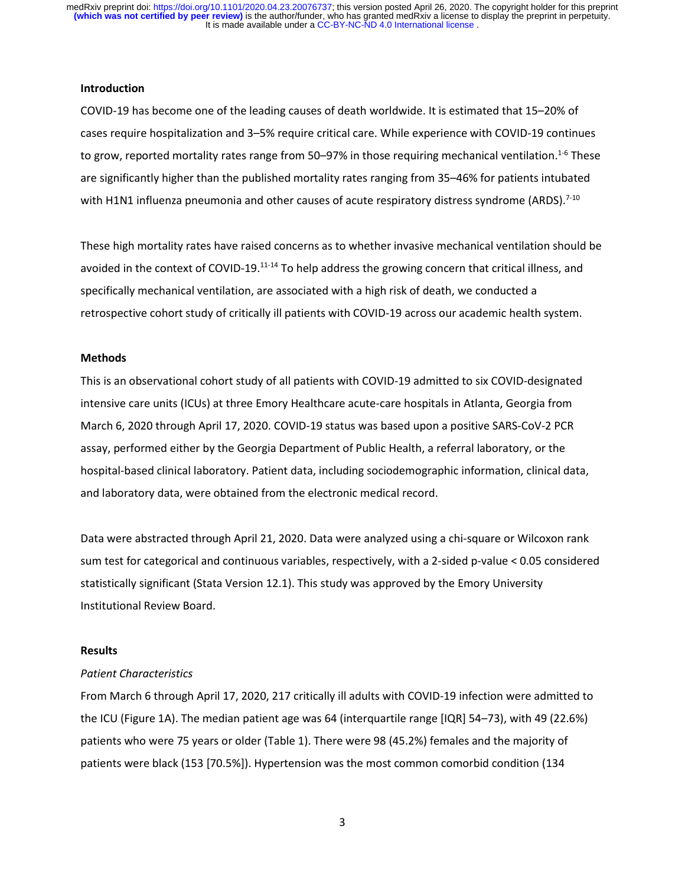#### **Introduction**

COVID-19 has become one of the leading causes of death worldwide. It is estimated that 15–20% of cases require hospitalization and 3–5% require critical care. While experience with COVID-19 continues to grow, reported mortality rates range from 50–97% in those requiring mechanical ventilation.<sup>1-6</sup> These are significantly higher than the published mortality rates ranging from 35–46% for patients intubated with H1N1 influenza pneumonia and other causes of acute respiratory distress syndrome (ARDS).<sup>7-10</sup>

These high mortality rates have raised concerns as to whether invasive mechanical ventilation should be avoided in the context of COVID-19.<sup>11-14</sup> To help address the growing concern that critical illness, and specifically mechanical ventilation, are associated with a high risk of death, we conducted a retrospective cohort study of critically ill patients with COVID-19 across our academic health system.

### **Methods**

This is an observational cohort study of all patients with COVID-19 admitted to six COVID-designated intensive care units (ICUs) at three Emory Healthcare acute-care hospitals in Atlanta, Georgia from March 6, 2020 through April 17, 2020. COVID-19 status was based upon a positive SARS-CoV-2 PCR assay, performed either by the Georgia Department of Public Health, a referral laboratory, or the hospital-based clinical laboratory. Patient data, including sociodemographic information, clinical data, and laboratory data, were obtained from the electronic medical record.

Data were abstracted through April 21, 2020. Data were analyzed using a chi-square or Wilcoxon rank sum test for categorical and continuous variables, respectively, with a 2-sided p-value < 0.05 considered statistically significant (Stata Version 12.1). This study was approved by the Emory University Institutional Review Board.

# **Results**

#### *Patient Characteristics*

From March 6 through April 17, 2020, 217 critically ill adults with COVID-19 infection were admitted to the ICU (Figure 1A). The median patient age was 64 (interquartile range [IQR] 54–73), with 49 (22.6%) patients who were 75 years or older (Table 1). There were 98 (45.2%) females and the majority of patients were black (153 [70.5%]). Hypertension was the most common comorbid condition (134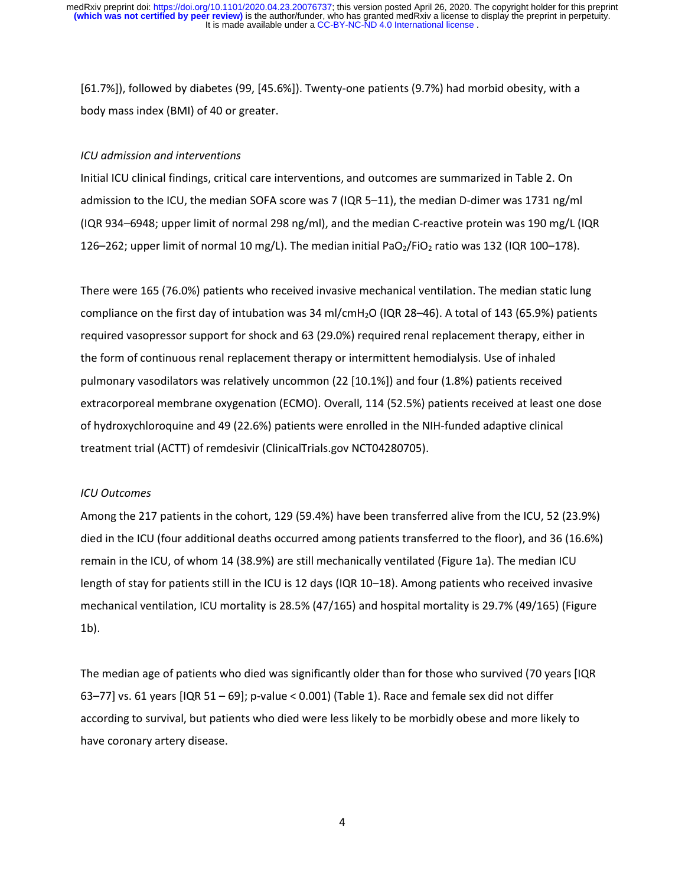[61.7%]), followed by diabetes (99, [45.6%]). Twenty-one patients (9.7%) had morbid obesity, with a body mass index (BMI) of 40 or greater.

#### *ICU admission and interventions*

Initial ICU clinical findings, critical care interventions, and outcomes are summarized in Table 2. On admission to the ICU, the median SOFA score was 7 (IQR 5–11), the median D-dimer was 1731 ng/ml (IQR 934–6948; upper limit of normal 298 ng/ml), and the median C-reactive protein was 190 mg/L (IQR 126–262; upper limit of normal 10 mg/L). The median initial PaO<sub>2</sub>/FiO<sub>2</sub> ratio was 132 (IQR 100–178).

There were 165 (76.0%) patients who received invasive mechanical ventilation. The median static lung compliance on the first day of intubation was 34 ml/cmH2O (IQR 28–46). A total of 143 (65.9%) patients required vasopressor support for shock and 63 (29.0%) required renal replacement therapy, either in the form of continuous renal replacement therapy or intermittent hemodialysis. Use of inhaled pulmonary vasodilators was relatively uncommon (22 [10.1%]) and four (1.8%) patients received extracorporeal membrane oxygenation (ECMO). Overall, 114 (52.5%) patients received at least one dose of hydroxychloroquine and 49 (22.6%) patients were enrolled in the NIH-funded adaptive clinical treatment trial (ACTT) of remdesivir (ClinicalTrials.gov NCT04280705).

### *ICU Outcomes*

Among the 217 patients in the cohort, 129 (59.4%) have been transferred alive from the ICU, 52 (23.9%) died in the ICU (four additional deaths occurred among patients transferred to the floor), and 36 (16.6%) remain in the ICU, of whom 14 (38.9%) are still mechanically ventilated (Figure 1a). The median ICU length of stay for patients still in the ICU is 12 days (IQR 10–18). Among patients who received invasive mechanical ventilation, ICU mortality is 28.5% (47/165) and hospital mortality is 29.7% (49/165) (Figure 1b).

The median age of patients who died was significantly older than for those who survived (70 years [IQR 63–77] vs. 61 years  $[IQR 51 - 69]$ ; p-value < 0.001) (Table 1). Race and female sex did not differ according to survival, but patients who died were less likely to be morbidly obese and more likely to have coronary artery disease.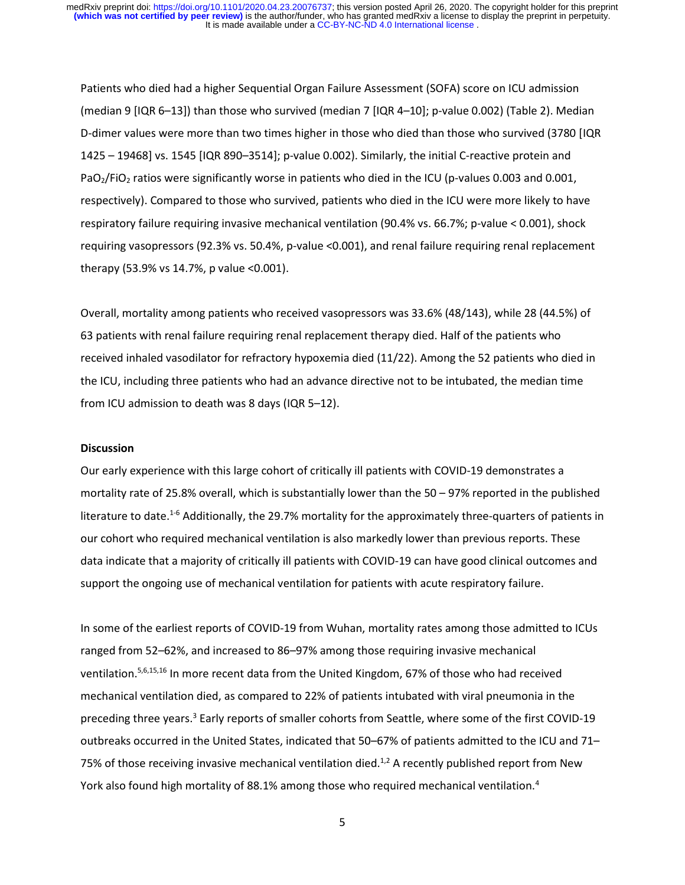Patients who died had a higher Sequential Organ Failure Assessment (SOFA) score on ICU admission (median 9 [IQR 6–13]) than those who survived (median 7 [IQR 4–10]; p-value 0.002) (Table 2). Median D-dimer values were more than two times higher in those who died than those who survived (3780 [IQR 1425 – 19468] vs. 1545 [IQR 890–3514]; p-value 0.002). Similarly, the initial C-reactive protein and PaO<sub>2</sub>/FiO<sub>2</sub> ratios were significantly worse in patients who died in the ICU (p-values 0.003 and 0.001, respectively). Compared to those who survived, patients who died in the ICU were more likely to have respiratory failure requiring invasive mechanical ventilation (90.4% vs. 66.7%; p-value < 0.001), shock requiring vasopressors (92.3% vs. 50.4%, p-value <0.001), and renal failure requiring renal replacement therapy (53.9% vs 14.7%, p value <0.001).

Overall, mortality among patients who received vasopressors was 33.6% (48/143), while 28 (44.5%) of 63 patients with renal failure requiring renal replacement therapy died. Half of the patients who received inhaled vasodilator for refractory hypoxemia died (11/22). Among the 52 patients who died in the ICU, including three patients who had an advance directive not to be intubated, the median time from ICU admission to death was 8 days (IQR 5–12).

### **Discussion**

Our early experience with this large cohort of critically ill patients with COVID-19 demonstrates a mortality rate of 25.8% overall, which is substantially lower than the 50 – 97% reported in the published literature to date.<sup>1-6</sup> Additionally, the 29.7% mortality for the approximately three-quarters of patients in our cohort who required mechanical ventilation is also markedly lower than previous reports. These data indicate that a majority of critically ill patients with COVID-19 can have good clinical outcomes and support the ongoing use of mechanical ventilation for patients with acute respiratory failure.

In some of the earliest reports of COVID-19 from Wuhan, mortality rates among those admitted to ICUs ranged from 52–62%, and increased to 86–97% among those requiring invasive mechanical ventilation.5,6,15,16 In more recent data from the United Kingdom, 67% of those who had received mechanical ventilation died, as compared to 22% of patients intubated with viral pneumonia in the preceding three years.<sup>3</sup> Early reports of smaller cohorts from Seattle, where some of the first COVID-19 outbreaks occurred in the United States, indicated that 50–67% of patients admitted to the ICU and 71– 75% of those receiving invasive mechanical ventilation died.<sup>1,2</sup> A recently published report from New York also found high mortality of 88.1% among those who required mechanical ventilation.<sup>4</sup>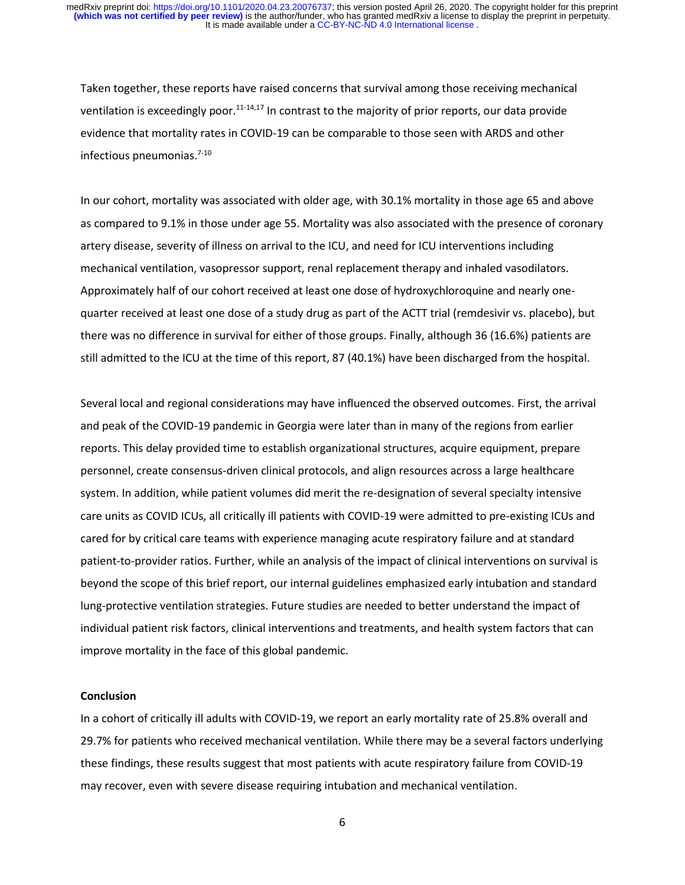Taken together, these reports have raised concerns that survival among those receiving mechanical ventilation is exceedingly poor.<sup>11-14,17</sup> In contrast to the majority of prior reports, our data provide evidence that mortality rates in COVID-19 can be comparable to those seen with ARDS and other infectious pneumonias.7-10

In our cohort, mortality was associated with older age, with 30.1% mortality in those age 65 and above as compared to 9.1% in those under age 55. Mortality was also associated with the presence of coronary artery disease, severity of illness on arrival to the ICU, and need for ICU interventions including mechanical ventilation, vasopressor support, renal replacement therapy and inhaled vasodilators. Approximately half of our cohort received at least one dose of hydroxychloroquine and nearly onequarter received at least one dose of a study drug as part of the ACTT trial (remdesivir vs. placebo), but there was no difference in survival for either of those groups. Finally, although 36 (16.6%) patients are still admitted to the ICU at the time of this report, 87 (40.1%) have been discharged from the hospital.

Several local and regional considerations may have influenced the observed outcomes. First, the arrival and peak of the COVID-19 pandemic in Georgia were later than in many of the regions from earlier reports. This delay provided time to establish organizational structures, acquire equipment, prepare personnel, create consensus-driven clinical protocols, and align resources across a large healthcare system. In addition, while patient volumes did merit the re-designation of several specialty intensive care units as COVID ICUs, all critically ill patients with COVID-19 were admitted to pre-existing ICUs and cared for by critical care teams with experience managing acute respiratory failure and at standard patient-to-provider ratios. Further, while an analysis of the impact of clinical interventions on survival is beyond the scope of this brief report, our internal guidelines emphasized early intubation and standard lung-protective ventilation strategies. Future studies are needed to better understand the impact of individual patient risk factors, clinical interventions and treatments, and health system factors that can improve mortality in the face of this global pandemic.

### **Conclusion**

In a cohort of critically ill adults with COVID-19, we report an early mortality rate of 25.8% overall and 29.7% for patients who received mechanical ventilation. While there may be a several factors underlying these findings, these results suggest that most patients with acute respiratory failure from COVID-19 may recover, even with severe disease requiring intubation and mechanical ventilation.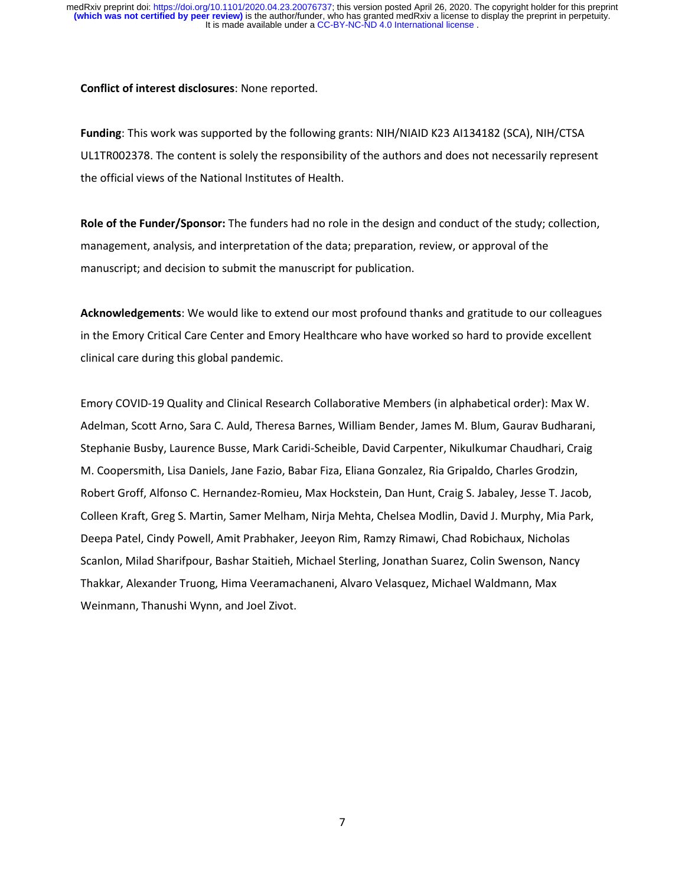**Conflict of interest disclosures**: None reported.

**Funding**: This work was supported by the following grants: NIH/NIAID K23 AI134182 (SCA), NIH/CTSA UL1TR002378. The content is solely the responsibility of the authors and does not necessarily represent the official views of the National Institutes of Health.

**Role of the Funder/Sponsor:** The funders had no role in the design and conduct of the study; collection, management, analysis, and interpretation of the data; preparation, review, or approval of the manuscript; and decision to submit the manuscript for publication.

**Acknowledgements**: We would like to extend our most profound thanks and gratitude to our colleagues in the Emory Critical Care Center and Emory Healthcare who have worked so hard to provide excellent clinical care during this global pandemic.

Emory COVID-19 Quality and Clinical Research Collaborative Members (in alphabetical order): Max W. Adelman, Scott Arno, Sara C. Auld, Theresa Barnes, William Bender, James M. Blum, Gaurav Budharani, Stephanie Busby, Laurence Busse, Mark Caridi-Scheible, David Carpenter, Nikulkumar Chaudhari, Craig M. Coopersmith, Lisa Daniels, Jane Fazio, Babar Fiza, Eliana Gonzalez, Ria Gripaldo, Charles Grodzin, Robert Groff, Alfonso C. Hernandez-Romieu, Max Hockstein, Dan Hunt, Craig S. Jabaley, Jesse T. Jacob, Colleen Kraft, Greg S. Martin, Samer Melham, Nirja Mehta, Chelsea Modlin, David J. Murphy, Mia Park, Deepa Patel, Cindy Powell, Amit Prabhaker, Jeeyon Rim, Ramzy Rimawi, Chad Robichaux, Nicholas Scanlon, Milad Sharifpour, Bashar Staitieh, Michael Sterling, Jonathan Suarez, Colin Swenson, Nancy Thakkar, Alexander Truong, Hima Veeramachaneni, Alvaro Velasquez, Michael Waldmann, Max Weinmann, Thanushi Wynn, and Joel Zivot.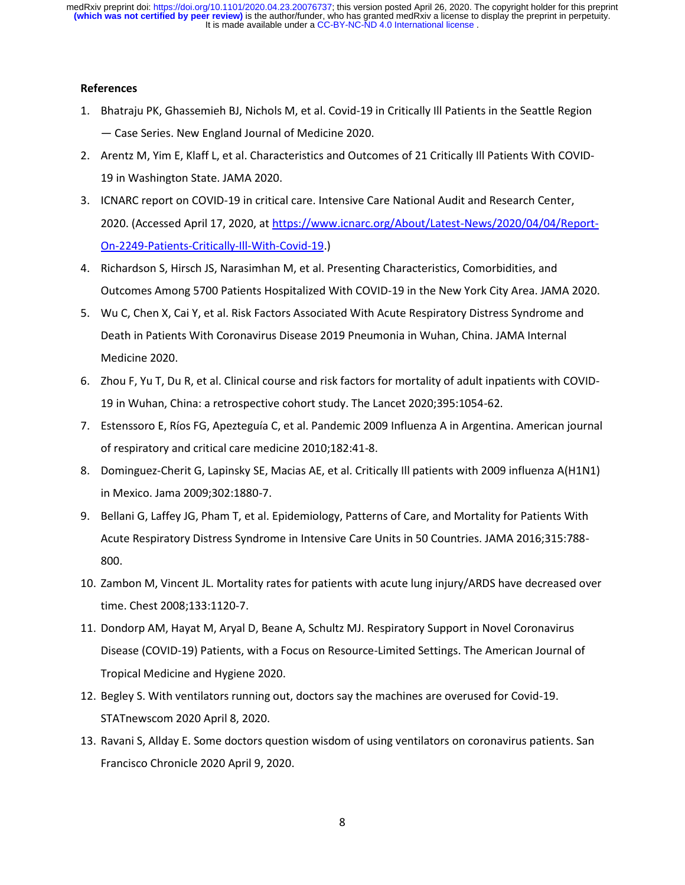# **References**

- 1. Bhatraju PK, Ghassemieh BJ, Nichols M, et al. Covid-19 in Critically Ill Patients in the Seattle Region — Case Series. New England Journal of Medicine 2020.
- 2. Arentz M, Yim E, Klaff L, et al. Characteristics and Outcomes of 21 Critically Ill Patients With COVID-19 in Washington State. JAMA 2020.
- 3. ICNARC report on COVID-19 in critical care. Intensive Care National Audit and Research Center, 2020. (Accessed April 17, 2020, at [https://www.icnarc.org/About/Latest-News/2020/04/04/Report-](https://www.icnarc.org/About/Latest-News/2020/04/04/Report-On-2249-Patients-Critically-Ill-With-Covid-19)[On-2249-Patients-Critically-Ill-With-Covid-19.](https://www.icnarc.org/About/Latest-News/2020/04/04/Report-On-2249-Patients-Critically-Ill-With-Covid-19))
- 4. Richardson S, Hirsch JS, Narasimhan M, et al. Presenting Characteristics, Comorbidities, and Outcomes Among 5700 Patients Hospitalized With COVID-19 in the New York City Area. JAMA 2020.
- 5. Wu C, Chen X, Cai Y, et al. Risk Factors Associated With Acute Respiratory Distress Syndrome and Death in Patients With Coronavirus Disease 2019 Pneumonia in Wuhan, China. JAMA Internal Medicine 2020.
- 6. Zhou F, Yu T, Du R, et al. Clinical course and risk factors for mortality of adult inpatients with COVID-19 in Wuhan, China: a retrospective cohort study. The Lancet 2020;395:1054-62.
- 7. Estenssoro E, Ríos FG, Apezteguía C, et al. Pandemic 2009 Influenza A in Argentina. American journal of respiratory and critical care medicine 2010;182:41-8.
- 8. Dominguez-Cherit G, Lapinsky SE, Macias AE, et al. Critically Ill patients with 2009 influenza A(H1N1) in Mexico. Jama 2009;302:1880-7.
- 9. Bellani G, Laffey JG, Pham T, et al. Epidemiology, Patterns of Care, and Mortality for Patients With Acute Respiratory Distress Syndrome in Intensive Care Units in 50 Countries. JAMA 2016;315:788- 800.
- 10. Zambon M, Vincent JL. Mortality rates for patients with acute lung injury/ARDS have decreased over time. Chest 2008;133:1120-7.
- 11. Dondorp AM, Hayat M, Aryal D, Beane A, Schultz MJ. Respiratory Support in Novel Coronavirus Disease (COVID-19) Patients, with a Focus on Resource-Limited Settings. The American Journal of Tropical Medicine and Hygiene 2020.
- 12. Begley S. With ventilators running out, doctors say the machines are overused for Covid-19. STATnewscom 2020 April 8, 2020.
- 13. Ravani S, Allday E. Some doctors question wisdom of using ventilators on coronavirus patients. San Francisco Chronicle 2020 April 9, 2020.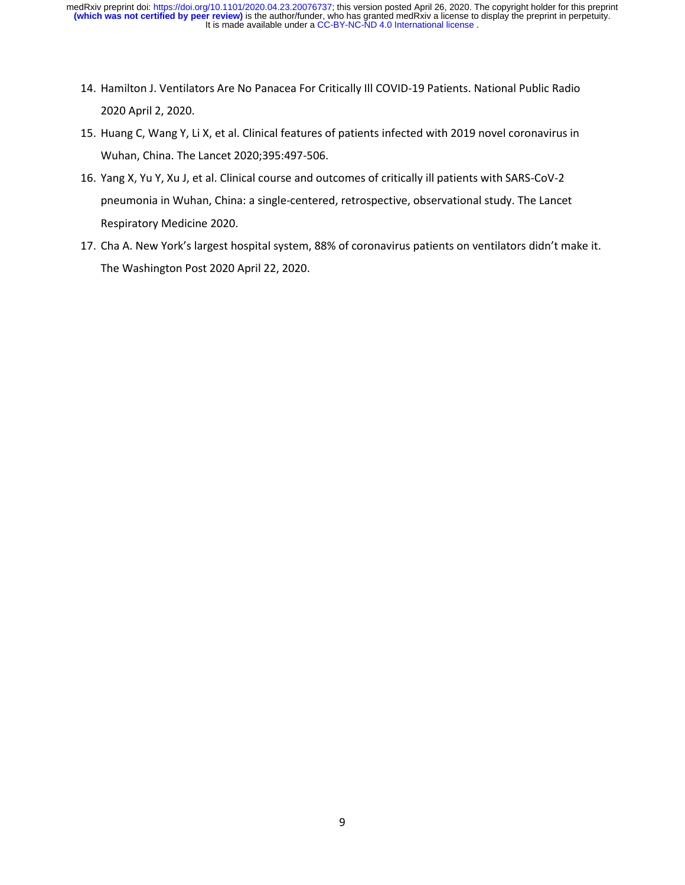- 14. Hamilton J. Ventilators Are No Panacea For Critically Ill COVID-19 Patients. National Public Radio 2020 April 2, 2020.
- 15. Huang C, Wang Y, Li X, et al. Clinical features of patients infected with 2019 novel coronavirus in Wuhan, China. The Lancet 2020;395:497-506.
- 16. Yang X, Yu Y, Xu J, et al. Clinical course and outcomes of critically ill patients with SARS-CoV-2 pneumonia in Wuhan, China: a single-centered, retrospective, observational study. The Lancet Respiratory Medicine 2020.
- 17. Cha A. New York's largest hospital system, 88% of coronavirus patients on ventilators didn't make it. The Washington Post 2020 April 22, 2020.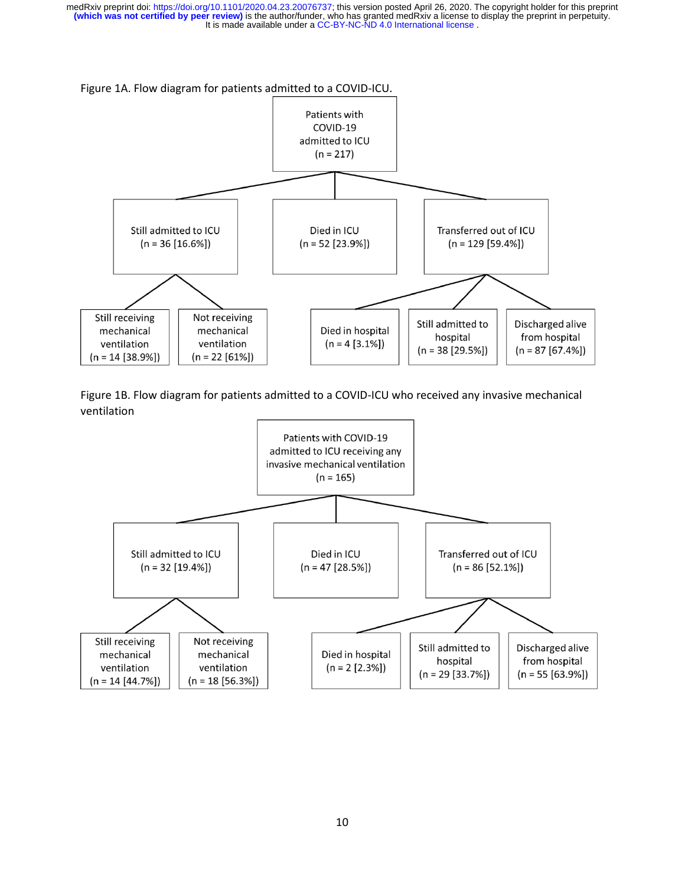Figure 1A. Flow diagram for patients admitted to a COVID-ICU.



Figure 1B. Flow diagram for patients admitted to a COVID-ICU who received any invasive mechanical ventilation

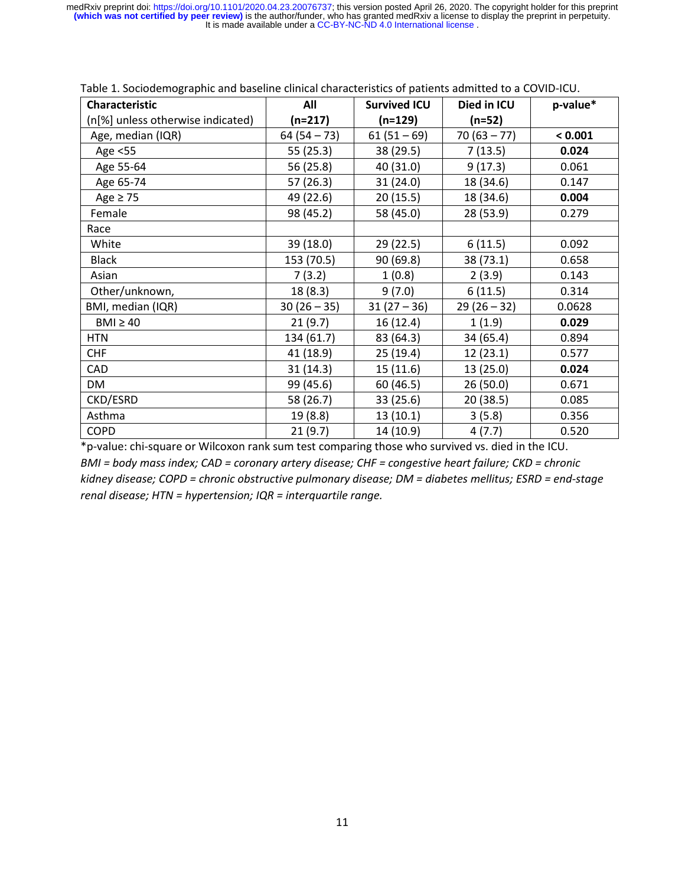| Characteristic                    | All         | <b>Survived ICU</b> | Died in ICU   | p-value* |
|-----------------------------------|-------------|---------------------|---------------|----------|
| (n[%] unless otherwise indicated) | (n=217)     | (n=129)             | (n=52)        |          |
| Age, median (IQR)                 | $64(54-73)$ | $61(51-69)$         | $70(63 - 77)$ | < 0.001  |
| Age <55                           | 55(25.3)    | 38 (29.5)           | 7(13.5)       | 0.024    |
| Age 55-64                         | 56 (25.8)   | 40 (31.0)           | 9(17.3)       | 0.061    |
| Age 65-74                         | 57 (26.3)   | 31(24.0)            | 18 (34.6)     | 0.147    |
| Age $\geq$ 75                     | 49 (22.6)   | 20(15.5)            | 18 (34.6)     | 0.004    |
| Female                            | 98 (45.2)   | 58 (45.0)           | 28 (53.9)     | 0.279    |
| Race                              |             |                     |               |          |
| White                             | 39 (18.0)   | 29 (22.5)           | 6(11.5)       | 0.092    |
| <b>Black</b>                      | 153 (70.5)  | 90 (69.8)           | 38 (73.1)     | 0.658    |
| Asian                             | 7(3.2)      | 1(0.8)              | 2(3.9)        | 0.143    |
| Other/unknown,                    | 18(8.3)     | 9(7.0)              | 6(11.5)       | 0.314    |
| BMI, median (IQR)                 | $30(26-35)$ | $31(27-36)$         | $29(26-32)$   | 0.0628   |
| $BMI \geq 40$                     | 21(9.7)     | 16 (12.4)           | 1(1.9)        | 0.029    |
| <b>HTN</b>                        | 134 (61.7)  | 83 (64.3)           | 34 (65.4)     | 0.894    |
| <b>CHF</b>                        | 41 (18.9)   | 25(19.4)            | 12(23.1)      | 0.577    |
| CAD                               | 31(14.3)    | 15 (11.6)           | 13 (25.0)     | 0.024    |
| DM                                | 99 (45.6)   | 60 (46.5)           | 26(50.0)      | 0.671    |
| CKD/ESRD                          | 58 (26.7)   | 33 (25.6)           | 20(38.5)      | 0.085    |
| Asthma                            | 19 (8.8)    | 13 (10.1)           | 3(5.8)        | 0.356    |
| <b>COPD</b>                       | 21(9.7)     | 14 (10.9)           | 4(7.7)        | 0.520    |

|  | Table 1. Sociodemographic and baseline clinical characteristics of patients admitted to a COVID-ICU. |
|--|------------------------------------------------------------------------------------------------------|
|--|------------------------------------------------------------------------------------------------------|

\*p-value: chi-square or Wilcoxon rank sum test comparing those who survived vs. died in the ICU. *BMI = body mass index; CAD = coronary artery disease; CHF = congestive heart failure; CKD = chronic kidney disease; COPD = chronic obstructive pulmonary disease; DM = diabetes mellitus; ESRD = end-stage renal disease; HTN = hypertension; IQR = interquartile range.*